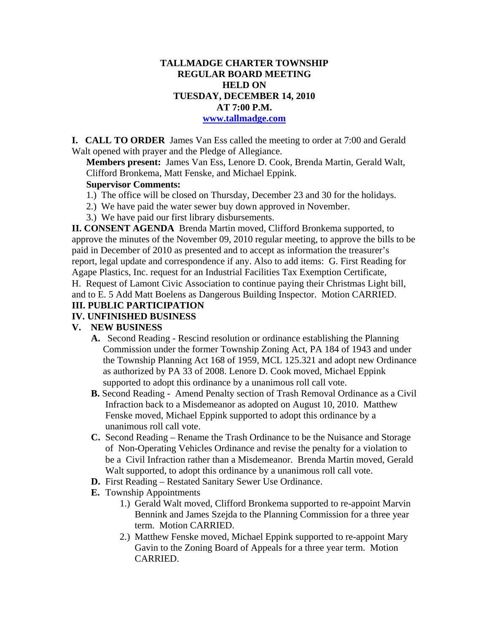### **TALLMADGE CHARTER TOWNSHIP REGULAR BOARD MEETING HELD ON TUESDAY, DECEMBER 14, 2010 AT 7:00 P.M.**

#### **www.tallmadge.com**

**I. CALL TO ORDER** James Van Ess called the meeting to order at 7:00 and Gerald Walt opened with prayer and the Pledge of Allegiance.

**Members present:** James Van Ess, Lenore D. Cook, Brenda Martin, Gerald Walt, Clifford Bronkema, Matt Fenske, and Michael Eppink.

#### **Supervisor Comments:**

- 1.) The office will be closed on Thursday, December 23 and 30 for the holidays.
- 2.) We have paid the water sewer buy down approved in November.
- 3.) We have paid our first library disbursements.

**II. CONSENT AGENDA** Brenda Martin moved, Clifford Bronkema supported, to approve the minutes of the November 09, 2010 regular meeting, to approve the bills to be paid in December of 2010 as presented and to accept as information the treasurer's report, legal update and correspondence if any. Also to add items: G. First Reading for Agape Plastics, Inc. request for an Industrial Facilities Tax Exemption Certificate, H. Request of Lamont Civic Association to continue paying their Christmas Light bill, and to E. 5 Add Matt Boelens as Dangerous Building Inspector. Motion CARRIED.

## **III. PUBLIC PARTICIPATION**

### **IV. UNFINISHED BUSINESS**

#### **V. NEW BUSINESS**

- **A.** Second Reading Rescind resolution or ordinance establishing the Planning Commission under the former Township Zoning Act, PA 184 of 1943 and under the Township Planning Act 168 of 1959, MCL 125.321 and adopt new Ordinance as authorized by PA 33 of 2008. Lenore D. Cook moved, Michael Eppink supported to adopt this ordinance by a unanimous roll call vote.
- **B.** Second Reading Amend Penalty section of Trash Removal Ordinance as a Civil Infraction back to a Misdemeanor as adopted on August 10, 2010. Matthew Fenske moved, Michael Eppink supported to adopt this ordinance by a unanimous roll call vote.
- **C.** Second Reading Rename the Trash Ordinance to be the Nuisance and Storage of Non-Operating Vehicles Ordinance and revise the penalty for a violation to be a Civil Infraction rather than a Misdemeanor. Brenda Martin moved, Gerald Walt supported, to adopt this ordinance by a unanimous roll call vote.
- **D.** First Reading Restated Sanitary Sewer Use Ordinance.
- **E.** Township Appointments
	- 1.) Gerald Walt moved, Clifford Bronkema supported to re-appoint Marvin Bennink and James Szejda to the Planning Commission for a three year term. Motion CARRIED.
	- 2.) Matthew Fenske moved, Michael Eppink supported to re-appoint Mary Gavin to the Zoning Board of Appeals for a three year term. Motion CARRIED.